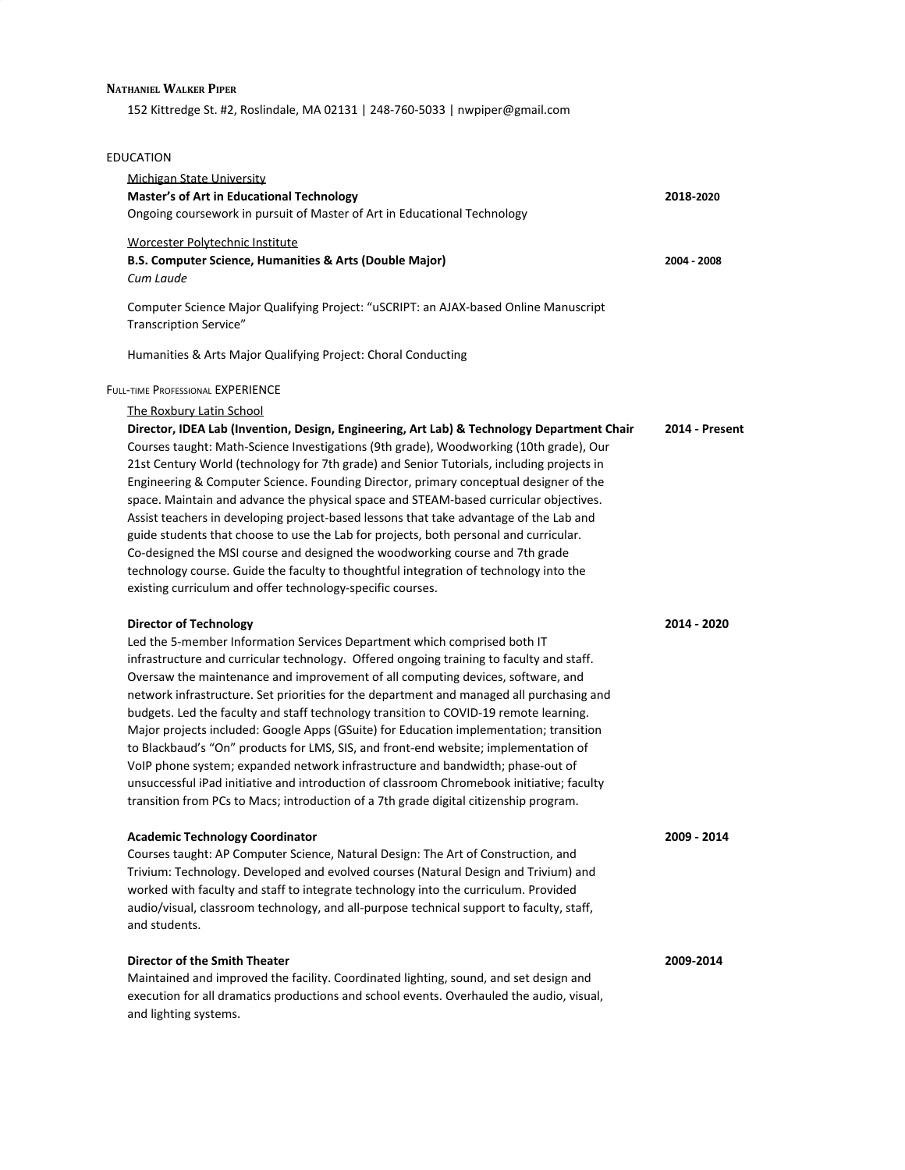## **NATHANIEL WALKER PIPER**

152 Kittredge St. #2, Roslindale, MA 02131 | 248-760-5033 | nwpiper@gmail.com

## EDUCATION

| Michigan State University<br><b>Master's of Art in Educational Technology</b><br>Ongoing coursework in pursuit of Master of Art in Educational Technology                                                                                                                                                                                                                                                                                                                                                                                                                                                                                                                                                                                                                                                                                                                                                                              | 2018-2020             |
|----------------------------------------------------------------------------------------------------------------------------------------------------------------------------------------------------------------------------------------------------------------------------------------------------------------------------------------------------------------------------------------------------------------------------------------------------------------------------------------------------------------------------------------------------------------------------------------------------------------------------------------------------------------------------------------------------------------------------------------------------------------------------------------------------------------------------------------------------------------------------------------------------------------------------------------|-----------------------|
| Worcester Polytechnic Institute<br>B.S. Computer Science, Humanities & Arts (Double Major)<br>Cum Laude                                                                                                                                                                                                                                                                                                                                                                                                                                                                                                                                                                                                                                                                                                                                                                                                                                | 2004 - 2008           |
| Computer Science Major Qualifying Project: "uSCRIPT: an AJAX-based Online Manuscript<br>Transcription Service"                                                                                                                                                                                                                                                                                                                                                                                                                                                                                                                                                                                                                                                                                                                                                                                                                         |                       |
| Humanities & Arts Major Qualifying Project: Choral Conducting                                                                                                                                                                                                                                                                                                                                                                                                                                                                                                                                                                                                                                                                                                                                                                                                                                                                          |                       |
| FULL-TIME PROFESSIONAL EXPERIENCE                                                                                                                                                                                                                                                                                                                                                                                                                                                                                                                                                                                                                                                                                                                                                                                                                                                                                                      |                       |
| The Roxbury Latin School<br>Director, IDEA Lab (Invention, Design, Engineering, Art Lab) & Technology Department Chair<br>Courses taught: Math-Science Investigations (9th grade), Woodworking (10th grade), Our<br>21st Century World (technology for 7th grade) and Senior Tutorials, including projects in<br>Engineering & Computer Science. Founding Director, primary conceptual designer of the<br>space. Maintain and advance the physical space and STEAM-based curricular objectives.<br>Assist teachers in developing project-based lessons that take advantage of the Lab and<br>guide students that choose to use the Lab for projects, both personal and curricular.<br>Co-designed the MSI course and designed the woodworking course and 7th grade<br>technology course. Guide the faculty to thoughtful integration of technology into the<br>existing curriculum and offer technology-specific courses.              | <b>2014 - Present</b> |
| <b>Director of Technology</b><br>Led the 5-member Information Services Department which comprised both IT<br>infrastructure and curricular technology. Offered ongoing training to faculty and staff.<br>Oversaw the maintenance and improvement of all computing devices, software, and<br>network infrastructure. Set priorities for the department and managed all purchasing and<br>budgets. Led the faculty and staff technology transition to COVID-19 remote learning.<br>Major projects included: Google Apps (GSuite) for Education implementation; transition<br>to Blackbaud's "On" products for LMS, SIS, and front-end website; implementation of<br>VoIP phone system; expanded network infrastructure and bandwidth; phase-out of<br>unsuccessful iPad initiative and introduction of classroom Chromebook initiative; faculty<br>transition from PCs to Macs; introduction of a 7th grade digital citizenship program. | 2014 - 2020           |
| <b>Academic Technology Coordinator</b><br>Courses taught: AP Computer Science, Natural Design: The Art of Construction, and<br>Trivium: Technology. Developed and evolved courses (Natural Design and Trivium) and<br>worked with faculty and staff to integrate technology into the curriculum. Provided<br>audio/visual, classroom technology, and all-purpose technical support to faculty, staff,<br>and students.                                                                                                                                                                                                                                                                                                                                                                                                                                                                                                                 | 2009 - 2014           |
| <b>Director of the Smith Theater</b><br>Maintained and improved the facility. Coordinated lighting, sound, and set design and<br>execution for all dramatics productions and school events. Overhauled the audio, visual,<br>and lighting systems.                                                                                                                                                                                                                                                                                                                                                                                                                                                                                                                                                                                                                                                                                     | 2009-2014             |